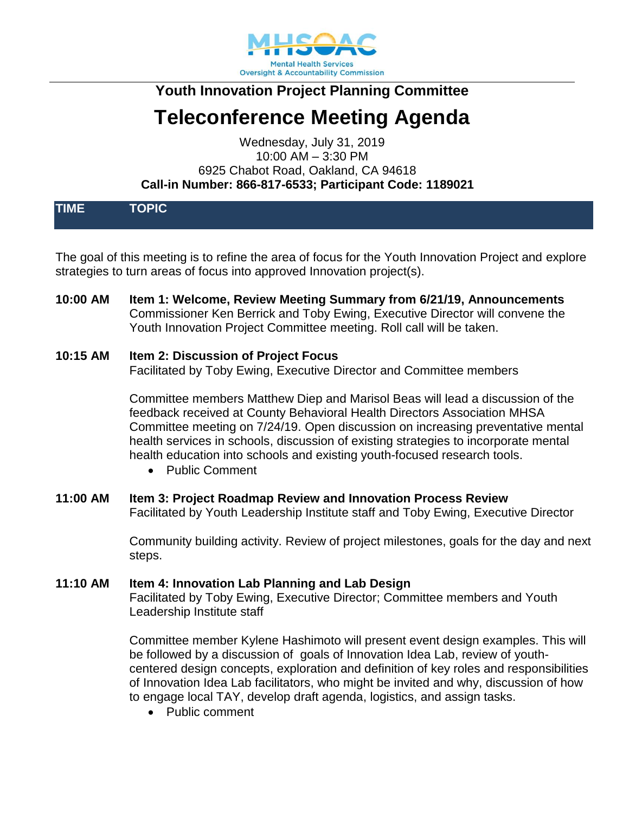

# **Youth Innovation Project Planning Committee**

# **Teleconference Meeting Agenda**

Wednesday, July 31, 2019 10:00 AM – 3:30 PM 6925 Chabot Road, Oakland, CA 94618 **Call-in Number: 866-817-6533; Participant Code: 1189021**

| <b>TIME</b> | <b>TOPIC</b> |  |  |
|-------------|--------------|--|--|
|             |              |  |  |
|             |              |  |  |
|             |              |  |  |
|             |              |  |  |

The goal of this meeting is to refine the area of focus for the Youth Innovation Project and explore strategies to turn areas of focus into approved Innovation project(s).

**10:00 AM Item 1: Welcome, Review Meeting Summary from 6/21/19, Announcements** Commissioner Ken Berrick and Toby Ewing, Executive Director will convene the Youth Innovation Project Committee meeting. Roll call will be taken.

#### **10:15 AM Item 2: Discussion of Project Focus**

Facilitated by Toby Ewing, Executive Director and Committee members

Committee members Matthew Diep and Marisol Beas will lead a discussion of the feedback received at County Behavioral Health Directors Association MHSA Committee meeting on 7/24/19. Open discussion on increasing preventative mental health services in schools, discussion of existing strategies to incorporate mental health education into schools and existing youth-focused research tools.

- Public Comment
- **11:00 AM Item 3: Project Roadmap Review and Innovation Process Review** Facilitated by Youth Leadership Institute staff and Toby Ewing, Executive Director

Community building activity. Review of project milestones, goals for the day and next steps.

**11:10 AM Item 4: Innovation Lab Planning and Lab Design** Facilitated by Toby Ewing, Executive Director; Committee members and Youth Leadership Institute staff

> Committee member Kylene Hashimoto will present event design examples. This will be followed by a discussion of goals of Innovation Idea Lab, review of youthcentered design concepts, exploration and definition of key roles and responsibilities of Innovation Idea Lab facilitators, who might be invited and why, discussion of how to engage local TAY, develop draft agenda, logistics, and assign tasks.

• Public comment